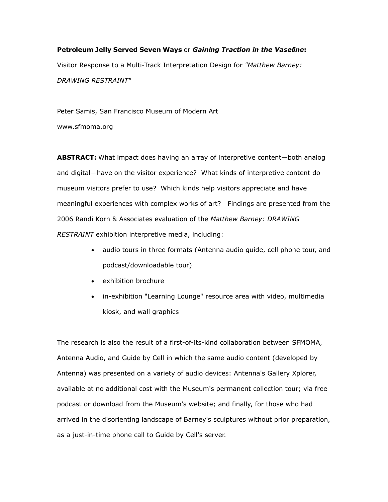# **Petroleum Jelly Served Seven Ways** or *Gaining Traction in the Vaseline***:** Visitor Response to a Multi-Track Interpretation Design for *"Matthew Barney: DRAWING RESTRAINT"*

Peter Samis, San Francisco Museum of Modern Art

www.sfmoma.org

**ABSTRACT:** What impact does having an array of interpretive content—both analog and digital—have on the visitor experience? What kinds of interpretive content do museum visitors prefer to use? Which kinds help visitors appreciate and have meaningful experiences with complex works of art? Findings are presented from the 2006 Randi Korn & Associates evaluation of the *Matthew Barney: DRAWING RESTRAINT* exhibition interpretive media, including:

- audio tours in three formats (Antenna audio guide, cell phone tour, and podcast/downloadable tour)
- exhibition brochure
- in-exhibition "Learning Lounge" resource area with video, multimedia kiosk, and wall graphics

The research is also the result of a first-of-its-kind collaboration between SFMOMA, Antenna Audio, and Guide by Cell in which the same audio content (developed by Antenna) was presented on a variety of audio devices: Antenna's Gallery Xplorer, available at no additional cost with the Museum's permanent collection tour; via free podcast or download from the Museum's website; and finally, for those who had arrived in the disorienting landscape of Barney's sculptures without prior preparation, as a just-in-time phone call to Guide by Cell's server.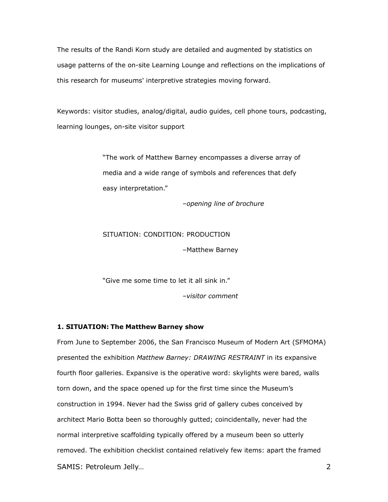The results of the Randi Korn study are detailed and augmented by statistics on usage patterns of the on-site Learning Lounge and reflections on the implications of this research for museums' interpretive strategies moving forward.

Keywords: visitor studies, analog/digital, audio guides, cell phone tours, podcasting, learning lounges, on-site visitor support

> "The work of Matthew Barney encompasses a diverse array of media and a wide range of symbols and references that defy easy interpretation."

> > *–opening line of brochure*

## SITUATION: CONDITION: PRODUCTION

–Matthew Barney

"Give me some time to let it all sink in."

*–visitor comment*

#### **1. SITUATION: The Matthew Barney show**

From June to September 2006, the San Francisco Museum of Modern Art (SFMOMA) presented the exhibition *Matthew Barney: DRAWING RESTRAINT* in its expansive fourth floor galleries. Expansive is the operative word: skylights were bared, walls torn down, and the space opened up for the first time since the Museum's construction in 1994. Never had the Swiss grid of gallery cubes conceived by architect Mario Botta been so thoroughly gutted; coincidentally, never had the normal interpretive scaffolding typically offered by a museum been so utterly removed. The exhibition checklist contained relatively few items: apart the framed SAMIS: Petroleum Jelly… 2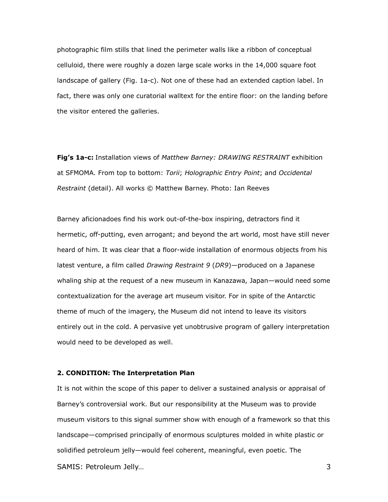photographic film stills that lined the perimeter walls like a ribbon of conceptual celluloid, there were roughly a dozen large scale works in the 14,000 square foot landscape of gallery (Fig. 1a-c). Not one of these had an extended caption label. In fact, there was only one curatorial walltext for the entire floor: on the landing before the visitor entered the galleries.

**Fig's 1a-c:** Installation views of *Matthew Barney: DRAWING RESTRAINT* exhibition at SFMOMA. From top to bottom: *Torii*; *Holographic Entry Point*; and *Occidental Restraint* (detail). All works © Matthew Barney. Photo: Ian Reeves

Barney aficionadoes find his work out-of-the-box inspiring, detractors find it hermetic, off-putting, even arrogant; and beyond the art world, most have still never heard of him. It was clear that a floor-wide installation of enormous objects from his latest venture, a film called *Drawing Restraint 9* (*DR9*)*—*produced on a Japanese whaling ship at the request of a new museum in Kanazawa, Japan—would need some contextualization for the average art museum visitor. For in spite of the Antarctic theme of much of the imagery, the Museum did not intend to leave its visitors entirely out in the cold. A pervasive yet unobtrusive program of gallery interpretation would need to be developed as well.

#### **2. CONDITION: The Interpretation Plan**

It is not within the scope of this paper to deliver a sustained analysis or appraisal of Barney's controversial work. But our responsibility at the Museum was to provide museum visitors to this signal summer show with enough of a framework so that this landscape—comprised principally of enormous sculptures molded in white plastic or solidified petroleum jelly—would feel coherent, meaningful, even poetic. The SAMIS: Petroleum Jelly… 3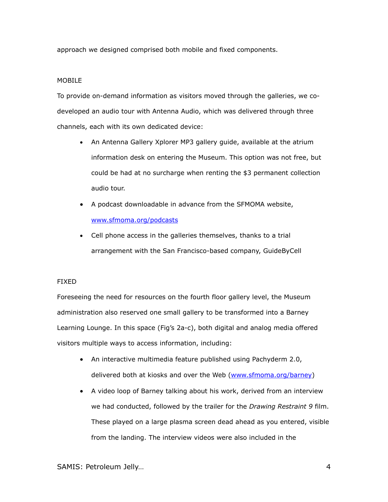approach we designed comprised both mobile and fixed components.

## **MOBILE**

To provide on-demand information as visitors moved through the galleries, we codeveloped an audio tour with Antenna Audio, which was delivered through three channels, each with its own dedicated device:

- An Antenna Gallery Xplorer MP3 gallery guide, available at the atrium information desk on entering the Museum. This option was not free, but could be had at no surcharge when renting the \$3 permanent collection audio tour.
- A podcast downloadable in advance from the SFMOMA website, [www.sfmoma.org/podcasts](http://www.sfmoma.org/podcasts)
- Cell phone access in the galleries themselves, thanks to a trial arrangement with the San Francisco-based company, GuideByCell

## FIXED

Foreseeing the need for resources on the fourth floor gallery level, the Museum administration also reserved one small gallery to be transformed into a Barney Learning Lounge. In this space (Fig's 2a-c), both digital and analog media offered visitors multiple ways to access information, including:

- An interactive multimedia feature published using Pachyderm 2.0, delivered both at kiosks and over the Web [\(www.sfmoma.org/barney\)](http://www.sfmoma.org/barney)
- A video loop of Barney talking about his work, derived from an interview we had conducted, followed by the trailer for the *Drawing Restraint 9* film. These played on a large plasma screen dead ahead as you entered, visible from the landing. The interview videos were also included in the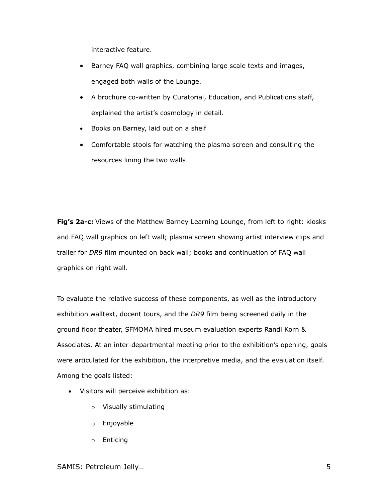interactive feature.

- Barney FAQ wall graphics, combining large scale texts and images, engaged both walls of the Lounge.
- A brochure co-written by Curatorial, Education, and Publications staff, explained the artist's cosmology in detail.
- Books on Barney, laid out on a shelf
- Comfortable stools for watching the plasma screen and consulting the resources lining the two walls

**Fig's 2a-c:** Views of the Matthew Barney Learning Lounge, from left to right: kiosks and FAQ wall graphics on left wall; plasma screen showing artist interview clips and trailer for *DR9* film mounted on back wall; books and continuation of FAQ wall graphics on right wall.

To evaluate the relative success of these components, as well as the introductory exhibition walltext, docent tours, and the *DR9* film being screened daily in the ground floor theater, SFMOMA hired museum evaluation experts Randi Korn & Associates. At an inter-departmental meeting prior to the exhibition's opening, goals were articulated for the exhibition, the interpretive media, and the evaluation itself. Among the goals listed:

- Visitors will perceive exhibition as:
	- o Visually stimulating
	- o Enjoyable
	- o Enticing

SAMIS: Petroleum Jelly… 5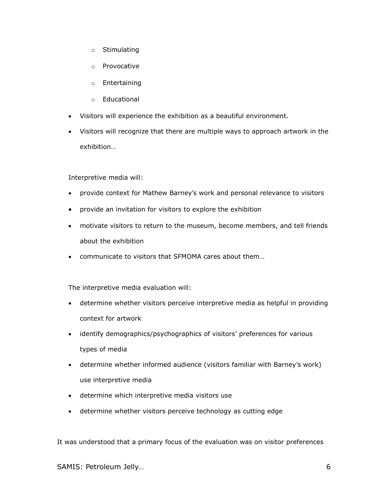- o Stimulating
- o Provocative
- o Entertaining
- o Educational
- Visitors will experience the exhibition as a beautiful environment.
- Visitors will recognize that there are multiple ways to approach artwork in the exhibition…

Interpretive media will:

- provide context for Mathew Barney's work and personal relevance to visitors
- provide an invitation for visitors to explore the exhibition
- motivate visitors to return to the museum, become members, and tell friends about the exhibition
- communicate to visitors that SFMOMA cares about them…

The interpretive media evaluation will:

- determine whether visitors perceive interpretive media as helpful in providing context for artwork
- identify demographics/psychographics of visitors' preferences for various types of media
- determine whether informed audience (visitors familiar with Barney's work) use interpretive media
- determine which interpretive media visitors use
- determine whether visitors perceive technology as cutting edge

It was understood that a primary focus of the evaluation was on visitor preferences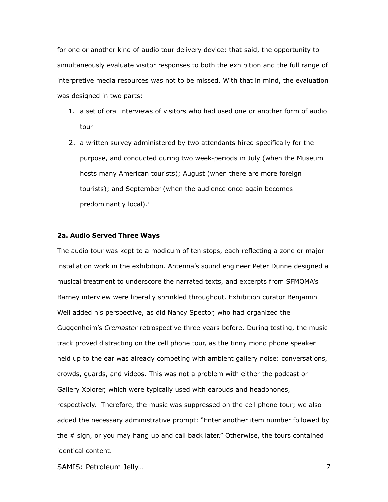for one or another kind of audio tour delivery device; that said, the opportunity to simultaneously evaluate visitor responses to both the exhibition and the full range of interpretive media resources was not to be missed. With that in mind, the evaluation was designed in two parts:

- 1. a set of oral interviews of visitors who had used one or another form of audio tour
- 2. a written survey administered by two attendants hired specifically for the purpose, and conducted during two week-periods in July (when the Museum hosts many American tourists); August (when there are more foreign tourists); and September (when the audience once again becomes predominantly local)[.](#page-18-0)<sup>i</sup>

#### **2a. Audio Served Three Ways**

The audio tour was kept to a modicum of ten stops, each reflecting a zone or major installation work in the exhibition. Antenna's sound engineer Peter Dunne designed a musical treatment to underscore the narrated texts, and excerpts from SFMOMA's Barney interview were liberally sprinkled throughout. Exhibition curator Benjamin Weil added his perspective, as did Nancy Spector, who had organized the Guggenheim's *Cremaster* retrospective three years before. During testing, the music track proved distracting on the cell phone tour, as the tinny mono phone speaker held up to the ear was already competing with ambient gallery noise: conversations, crowds, guards, and videos. This was not a problem with either the podcast or Gallery Xplorer, which were typically used with earbuds and headphones, respectively. Therefore, the music was suppressed on the cell phone tour; we also added the necessary administrative prompt: "Enter another item number followed by the # sign, or you may hang up and call back later." Otherwise, the tours contained identical content.

SAMIS: Petroleum Jelly… 7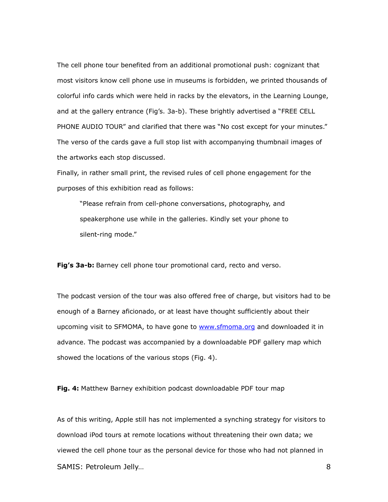The cell phone tour benefited from an additional promotional push: cognizant that most visitors know cell phone use in museums is forbidden, we printed thousands of colorful info cards which were held in racks by the elevators, in the Learning Lounge, and at the gallery entrance (Fig's. 3a-b). These brightly advertised a "FREE CELL PHONE AUDIO TOUR" and clarified that there was "No cost except for your minutes." The verso of the cards gave a full stop list with accompanying thumbnail images of the artworks each stop discussed.

Finally, in rather small print, the revised rules of cell phone engagement for the purposes of this exhibition read as follows:

"Please refrain from cell-phone conversations, photography, and speakerphone use while in the galleries. Kindly set your phone to silent-ring mode."

**Fig's 3a-b:** Barney cell phone tour promotional card, recto and verso.

The podcast version of the tour was also offered free of charge, but visitors had to be enough of a Barney aficionado, or at least have thought sufficiently about their upcoming visit to SFMOMA, to have gone to [www.sfmoma.org](http://www.sfmoma.org/) and downloaded it in advance. The podcast was accompanied by a downloadable PDF gallery map which showed the locations of the various stops (Fig. 4).

**Fig. 4:** Matthew Barney exhibition podcast downloadable PDF tour map

As of this writing, Apple still has not implemented a synching strategy for visitors to download iPod tours at remote locations without threatening their own data; we viewed the cell phone tour as the personal device for those who had not planned in SAMIS: Petroleum Jelly… 8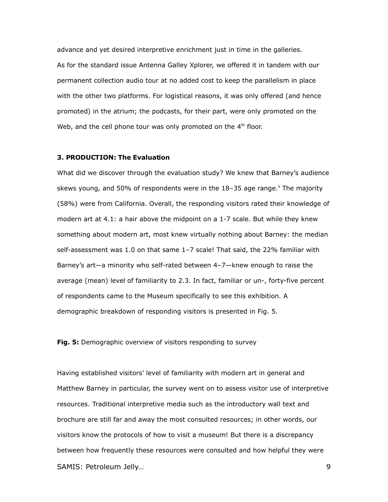advance and yet desired interpretive enrichment just in time in the galleries. As for the standard issue Antenna Galley Xplorer, we offered it in tandem with our permanent collection audio tour at no added cost to keep the parallelism in place with the other two platforms. For logistical reasons, it was only offered (and hence promoted) in the atrium; the podcasts, for their part, were only promoted on the Web, and the cell phone tour was only promoted on the  $4<sup>th</sup>$  floor.

### **3. PRODUCTION: The Evaluation**

What did we discover through the evaluation study? We knew that Barney's audience skews young, and 50% of respondents were in the 18-35 age range.<sup>"</sup> The majority (58%) were from California. Overall, the responding visitors rated their knowledge of modern art at 4.1: a hair above the midpoint on a 1-7 scale. But while they knew something about modern art, most knew virtually nothing about Barney: the median self-assessment was 1.0 on that same 1–7 scale! That said, the 22% familiar with Barney's art—a minority who self-rated between 4–7—knew enough to raise the average (mean) level of familiarity to 2.3. In fact, familiar or un-, forty-five percent of respondents came to the Museum specifically to see this exhibition. A demographic breakdown of responding visitors is presented in Fig. 5.

**Fig. 5:** Demographic overview of visitors responding to survey

Having established visitors' level of familiarity with modern art in general and Matthew Barney in particular, the survey went on to assess visitor use of interpretive resources. Traditional interpretive media such as the introductory wall text and brochure are still far and away the most consulted resources; in other words, our visitors know the protocols of how to visit a museum! But there is a discrepancy between how frequently these resources were consulted and how helpful they were SAMIS: Petroleum Jelly… 9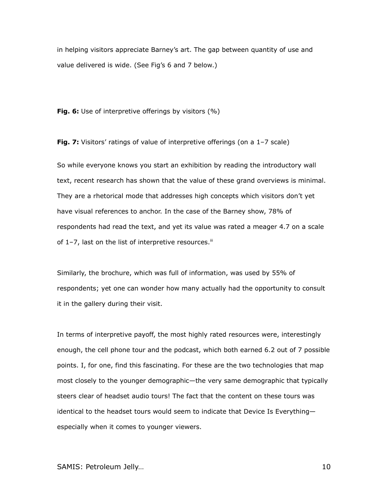in helping visitors appreciate Barney's art. The gap between quantity of use and value delivered is wide. (See Fig's 6 and 7 below.)

**Fig. 6:** Use of interpretive offerings by visitors (%)

**Fig. 7:** Visitors' ratings of value of interpretive offerings (on a 1-7 scale)

So while everyone knows you start an exhibition by reading the introductory wall text, recent research has shown that the value of these grand overviews is minimal. They are a rhetorical mode that addresses high concepts which visitors don't yet have visual references to anchor. In the case of the Barney show, 78% of respondents had read the text, and yet its value was rated a meager 4.7 on a scale of 1-7, last on the list of interpretive resources.<sup>III</sup>

Similarly, the brochure, which was full of information, was used by 55% of respondents; yet one can wonder how many actually had the opportunity to consult it in the gallery during their visit.

In terms of interpretive payoff, the most highly rated resources were, interestingly enough, the cell phone tour and the podcast, which both earned 6.2 out of 7 possible points. I, for one, find this fascinating. For these are the two technologies that map most closely to the younger demographic—the very same demographic that typically steers clear of headset audio tours! The fact that the content on these tours was identical to the headset tours would seem to indicate that Device Is Everything especially when it comes to younger viewers.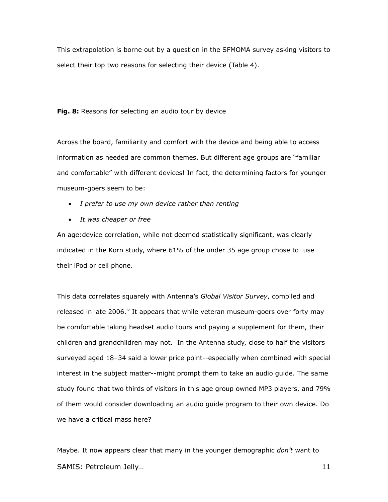This extrapolation is borne out by a question in the SFMOMA survey asking visitors to select their top two reasons for selecting their device (Table 4).

**Fig. 8:** Reasons for selecting an audio tour by device

Across the board, familiarity and comfort with the device and being able to access information as needed are common themes. But different age groups are "familiar and comfortable" with different devices! In fact, the determining factors for younger museum-goers seem to be:

- *I prefer to use my own device rather than renting*
- *It was cheaper or free*

An age:device correlation, while not deemed statistically significant, was clearly indicated in the Korn study, where 61% of the under 35 age group chose to use their iPod or cell phone.

This data correlates squarely with Antenna's *Global Visitor Survey*, compiled and released in late 2006.<sup>[iv](#page-18-3)</sup> It appears that while veteran museum-goers over forty may be comfortable taking headset audio tours and paying a supplement for them, their children and grandchildren may not. In the Antenna study, close to half the visitors surveyed aged 18–34 said a lower price point--especially when combined with special interest in the subject matter--might prompt them to take an audio guide. The same study found that two thirds of visitors in this age group owned MP3 players, and 79% of them would consider downloading an audio guide program to their own device. Do we have a critical mass here?

Maybe. It now appears clear that many in the younger demographic *don't* want to SAMIS: Petroleum Jelly... 2008. 2014. 2015. 2016. 2017. 2018. 2019. 2016. 2017. 2018. 2017. 2018. 2017. 2018. 2017. 2017. 2018. 2017. 2018. 2017. 2018. 2017. 2018. 2018. 2019. 2017. 2018. 2018. 2019. 2019. 2018. 2019. 2019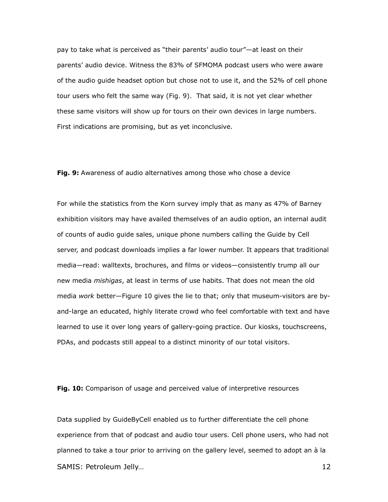pay to take what is perceived as "their parents' audio tour"—at least on their parents' audio device. Witness the 83% of SFMOMA podcast users who were aware of the audio guide headset option but chose not to use it, and the 52% of cell phone tour users who felt the same way (Fig. 9). That said, it is not yet clear whether these same visitors will show up for tours on their own devices in large numbers. First indications are promising, but as yet inconclusive.

**Fig. 9:** Awareness of audio alternatives among those who chose a device

For while the statistics from the Korn survey imply that as many as 47% of Barney exhibition visitors may have availed themselves of an audio option, an internal audit of counts of audio guide sales, unique phone numbers calling the Guide by Cell server, and podcast downloads implies a far lower number. It appears that traditional media—read: walltexts, brochures, and films or videos—consistently trump all our new media *mishigas*, at least in terms of use habits. That does not mean the old media *work* better—Figure 10 gives the lie to that; only that museum-visitors are byand-large an educated, highly literate crowd who feel comfortable with text and have learned to use it over long years of gallery-going practice. Our kiosks, touchscreens, PDAs, and podcasts still appeal to a distinct minority of our total visitors.

**Fig. 10:** Comparison of usage and perceived value of interpretive resources

Data supplied by GuideByCell enabled us to further differentiate the cell phone experience from that of podcast and audio tour users. Cell phone users, who had not planned to take a tour prior to arriving on the gallery level, seemed to adopt an à la SAMIS: Petroleum Jelly… 12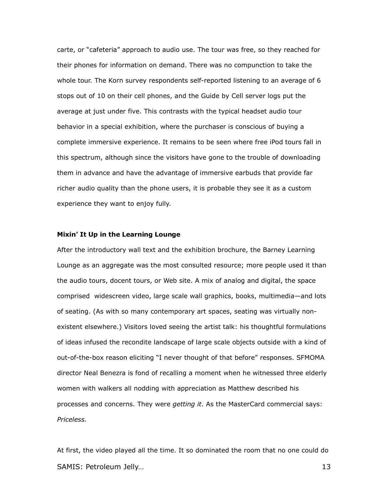carte, or "cafeteria" approach to audio use. The tour was free, so they reached for their phones for information on demand. There was no compunction to take the whole tour. The Korn survey respondents self-reported listening to an average of 6 stops out of 10 on their cell phones, and the Guide by Cell server logs put the average at just under five. This contrasts with the typical headset audio tour behavior in a special exhibition, where the purchaser is conscious of buying a complete immersive experience. It remains to be seen where free iPod tours fall in this spectrum, although since the visitors have gone to the trouble of downloading them in advance and have the advantage of immersive earbuds that provide far richer audio quality than the phone users, it is probable they see it as a custom experience they want to enjoy fully.

#### **Mixin' It Up in the Learning Lounge**

After the introductory wall text and the exhibition brochure, the Barney Learning Lounge as an aggregate was the most consulted resource; more people used it than the audio tours, docent tours, or Web site. A mix of analog and digital, the space comprised widescreen video, large scale wall graphics, books, multimedia—and lots of seating. (As with so many contemporary art spaces, seating was virtually nonexistent elsewhere.) Visitors loved seeing the artist talk: his thoughtful formulations of ideas infused the recondite landscape of large scale objects outside with a kind of out-of-the-box reason eliciting "I never thought of that before" responses. SFMOMA director Neal Benezra is fond of recalling a moment when he witnessed three elderly women with walkers all nodding with appreciation as Matthew described his processes and concerns. They were *getting it*. As the MasterCard commercial says: *Priceless.*

At first, the video played all the time. It so dominated the room that no one could do SAMIS: Petroleum Jelly… 13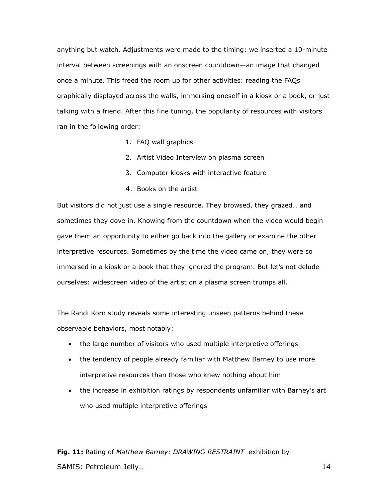anything but watch. Adjustments were made to the timing: we inserted a 10-minute interval between screenings with an onscreen countdown—an image that changed once a minute. This freed the room up for other activities: reading the FAQs graphically displayed across the walls, immersing oneself in a kiosk or a book, or just talking with a friend. After this fine tuning, the popularity of resources with visitors ran in the following order:

- 1. FAQ wall graphics
- 2. Artist Video Interview on plasma screen
- 3. Computer kiosks with interactive feature
- 4. Books on the artist

But visitors did not just use a single resource. They browsed, they grazed… and sometimes they dove in. Knowing from the countdown when the video would begin gave them an opportunity to either go back into the gallery or examine the other interpretive resources. Sometimes by the time the video came on, they were so immersed in a kiosk or a book that they ignored the program. But let's not delude ourselves: widescreen video of the artist on a plasma screen trumps all.

The Randi Korn study reveals some interesting unseen patterns behind these observable behaviors, most notably:

- the large number of visitors who used multiple interpretive offerings
- the tendency of people already familiar with Matthew Barney to use more interpretive resources than those who knew nothing about him
- the increase in exhibition ratings by respondents unfamiliar with Barney's art who used multiple interpretive offerings

**Fig. 11:** Rating of *Matthew Barney: DRAWING RESTRAINT* exhibition by SAMIS: Petroleum Jelly... 14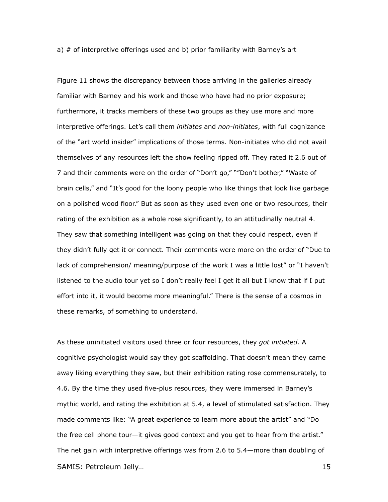a) # of interpretive offerings used and b) prior familiarity with Barney's art

Figure 11 shows the discrepancy between those arriving in the galleries already familiar with Barney and his work and those who have had no prior exposure; furthermore, it tracks members of these two groups as they use more and more interpretive offerings. Let's call them *initiates* and *non-initiates*, with full cognizance of the "art world insider" implications of those terms. Non-initiates who did not avail themselves of any resources left the show feeling ripped off. They rated it 2.6 out of 7 and their comments were on the order of "Don't go," ""Don't bother," "Waste of brain cells," and "It's good for the loony people who like things that look like garbage on a polished wood floor." But as soon as they used even one or two resources, their rating of the exhibition as a whole rose significantly, to an attitudinally neutral 4. They saw that something intelligent was going on that they could respect, even if they didn't fully get it or connect. Their comments were more on the order of "Due to lack of comprehension/ meaning/purpose of the work I was a little lost" or "I haven't listened to the audio tour yet so I don't really feel I get it all but I know that if I put effort into it, it would become more meaningful." There is the sense of a cosmos in these remarks, of something to understand.

As these uninitiated visitors used three or four resources, they *got initiated.* A cognitive psychologist would say they got scaffolding. That doesn't mean they came away liking everything they saw, but their exhibition rating rose commensurately, to 4.6. By the time they used five-plus resources, they were immersed in Barney's mythic world, and rating the exhibition at 5.4, a level of stimulated satisfaction. They made comments like: "A great experience to learn more about the artist" and "Do the free cell phone tour—it gives good context and you get to hear from the artist." The net gain with interpretive offerings was from 2.6 to 5.4—more than doubling of SAMIS: Petroleum Jelly… 15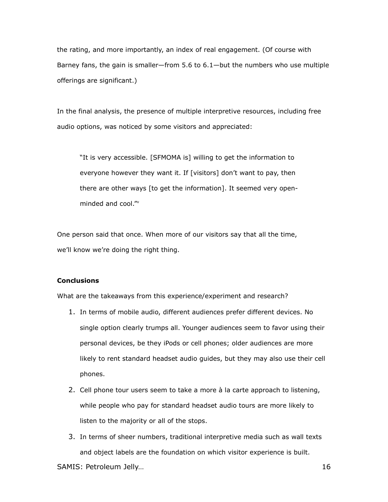the rating, and more importantly, an index of real engagement. (Of course with Barney fans, the gain is smaller—from 5.6 to 6.1—but the numbers who use multiple offerings are significant.)

In the final analysis, the presence of multiple interpretive resources, including free audio options, was noticed by some visitors and appreciated:

"It is very accessible. [SFMOMA is] willing to get the information to everyone however they want it. If [visitors] don't want to pay, then there are other ways [to get the information]. It seemed very openminded and cool."

One person said that once. When more of our visitors say that all the time, we'll know we're doing the right thing.

## **Conclusions**

What are the takeaways from this experience/experiment and research?

- 1. In terms of mobile audio, different audiences prefer different devices. No single option clearly trumps all. Younger audiences seem to favor using their personal devices, be they iPods or cell phones; older audiences are more likely to rent standard headset audio guides, but they may also use their cell phones.
- 2. Cell phone tour users seem to take a more à la carte approach to listening, while people who pay for standard headset audio tours are more likely to listen to the majority or all of the stops.
- 3. In terms of sheer numbers, traditional interpretive media such as wall texts and object labels are the foundation on which visitor experience is built.

SAMIS: Petroleum Jelly... 16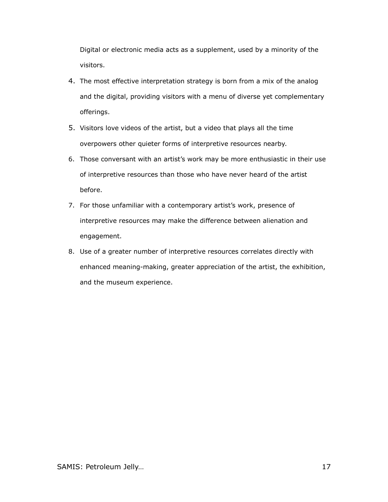Digital or electronic media acts as a supplement, used by a minority of the visitors.

- 4. The most effective interpretation strategy is born from a mix of the analog and the digital, providing visitors with a menu of diverse yet complementary offerings.
- 5. Visitors love videos of the artist, but a video that plays all the time overpowers other quieter forms of interpretive resources nearby.
- 6. Those conversant with an artist's work may be more enthusiastic in their use of interpretive resources than those who have never heard of the artist before.
- 7. For those unfamiliar with a contemporary artist's work, presence of interpretive resources may make the difference between alienation and engagement.
- 8. Use of a greater number of interpretive resources correlates directly with enhanced meaning-making, greater appreciation of the artist, the exhibition, and the museum experience.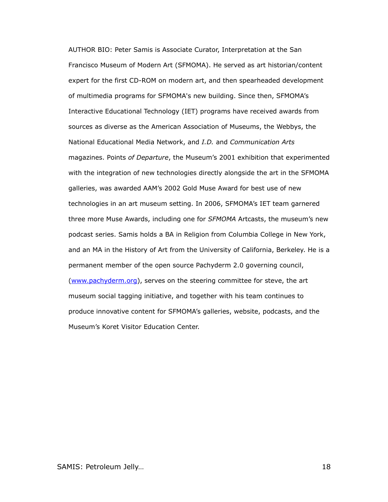AUTHOR BIO: Peter Samis is Associate Curator, Interpretation at the San Francisco Museum of Modern Art (SFMOMA). He served as art historian/content expert for the first CD-ROM on modern art, and then spearheaded development of multimedia programs for SFMOMA's new building. Since then, SFMOMA's Interactive Educational Technology (IET) programs have received awards from sources as diverse as the American Association of Museums, the Webbys, the National Educational Media Network, and *I.D.* and *Communication Arts* magazines. Points *of Departure*, the Museum's 2001 exhibition that experimented with the integration of new technologies directly alongside the art in the SFMOMA galleries, was awarded AAM's 2002 Gold Muse Award for best use of new technologies in an art museum setting. In 2006, SFMOMA's IET team garnered three more Muse Awards, including one for *SFMOMA* Artcasts, the museum's new podcast series. Samis holds a BA in Religion from Columbia College in New York, and an MA in the History of Art from the University of California, Berkeley. He is a permanent member of the open source Pachyderm 2.0 governing council, [\(www.pachyderm.org\)](http://www.pachyderm.org/), serves on the steering committee for steve, the art museum social tagging initiative, and together with his team continues to produce innovative content for SFMOMA's galleries, website, podcasts, and the Museum's Koret Visitor Education Center.